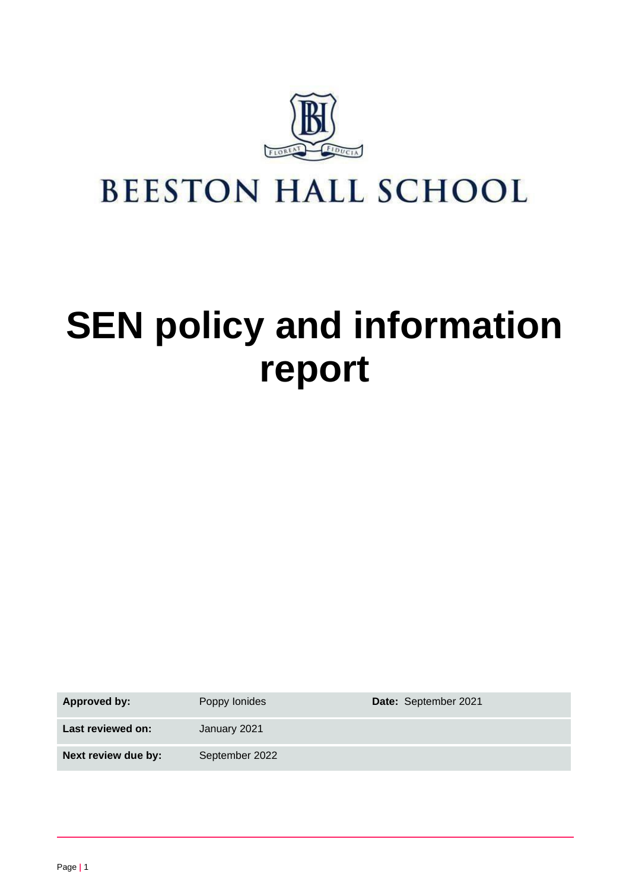

## **BEESTON HALL SCHOOL**

# **SEN policy and information report**

Approved by: Poppy Ionides **Date:** September 2021 **Last reviewed on:** January 2021 **Next review due by:** September 2022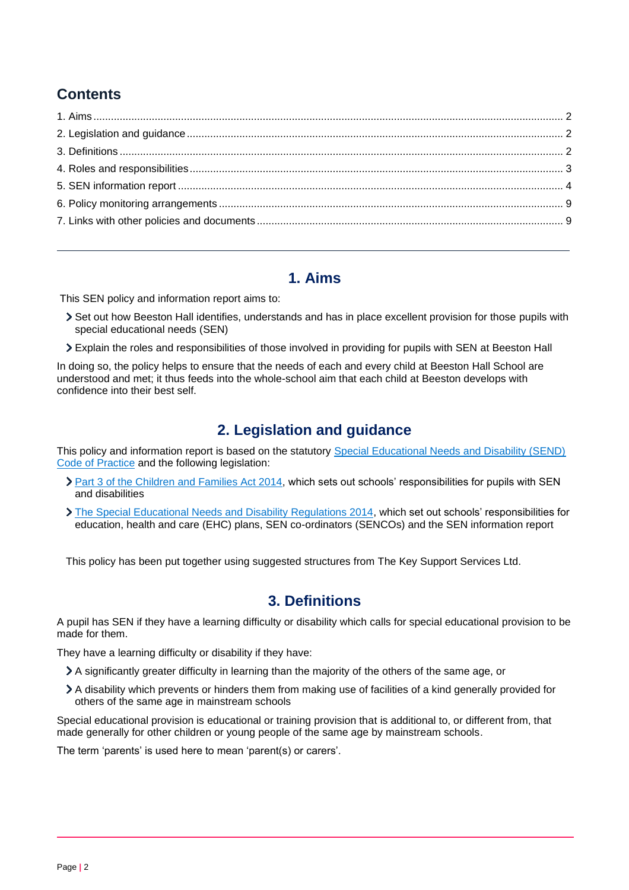## **Contents**

## **1. Aims**

<span id="page-1-0"></span>This SEN policy and information report aims to:

- Set out how Beeston Hall identifies, understands and has in place excellent provision for those pupils with special educational needs (SEN)
- Explain the roles and responsibilities of those involved in providing for pupils with SEN at Beeston Hall

In doing so, the policy helps to ensure that the needs of each and every child at Beeston Hall School are understood and met; it thus feeds into the whole-school aim that each child at Beeston develops with confidence into their best self.

## **2. Legislation and guidance**

<span id="page-1-1"></span>This policy and information report is based on the statutory [Special Educational Needs and Disability \(SEND\)](https://www.gov.uk/government/uploads/system/uploads/attachment_data/file/398815/SEND_Code_of_Practice_January_2015.pdf)  [Code of Practice](https://www.gov.uk/government/uploads/system/uploads/attachment_data/file/398815/SEND_Code_of_Practice_January_2015.pdf) and the following legislation:

- [Part 3 of the Children and Families Act 2014,](http://www.legislation.gov.uk/ukpga/2014/6/part/3) which sets out schools' responsibilities for pupils with SEN and disabilities
- [The Special Educational Needs and Disability Regulations 2014,](http://www.legislation.gov.uk/uksi/2014/1530/contents/made) which set out schools' responsibilities for education, health and care (EHC) plans, SEN co-ordinators (SENCOs) and the SEN information report

This policy has been put together using suggested structures from The Key Support Services Ltd.

## **3. Definitions**

<span id="page-1-2"></span>A pupil has SEN if they have a learning difficulty or disability which calls for special educational provision to be made for them.

They have a learning difficulty or disability if they have:

- A significantly greater difficulty in learning than the majority of the others of the same age, or
- A disability which prevents or hinders them from making use of facilities of a kind generally provided for others of the same age in mainstream schools

Special educational provision is educational or training provision that is additional to, or different from, that made generally for other children or young people of the same age by mainstream schools.

The term 'parents' is used here to mean 'parent(s) or carers'.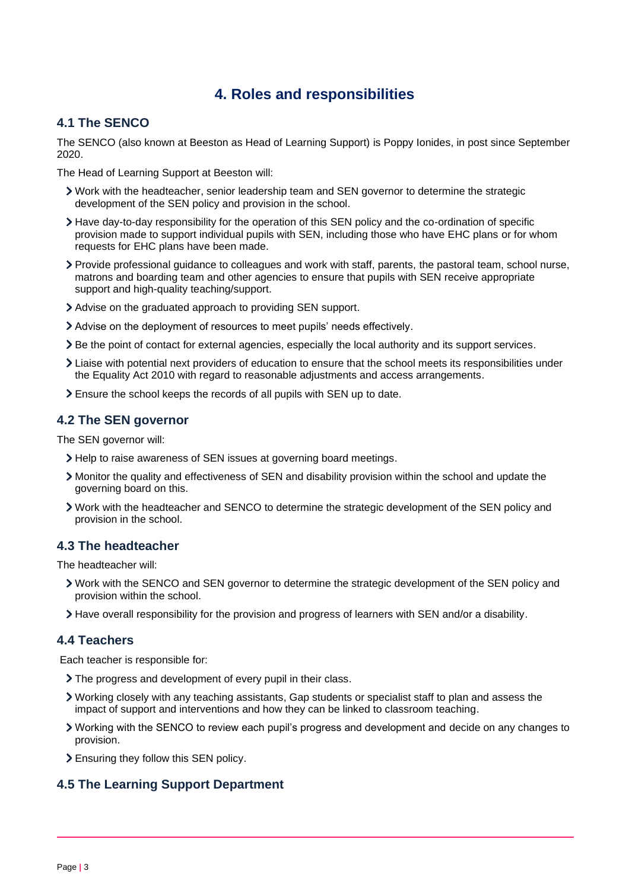## **4. Roles and responsibilities**

#### <span id="page-2-0"></span>**4.1 The SENCO**

The SENCO (also known at Beeston as Head of Learning Support) is Poppy Ionides, in post since September 2020.

The Head of Learning Support at Beeston will:

- Work with the headteacher, senior leadership team and SEN governor to determine the strategic development of the SEN policy and provision in the school.
- Have day-to-day responsibility for the operation of this SEN policy and the co-ordination of specific provision made to support individual pupils with SEN, including those who have EHC plans or for whom requests for EHC plans have been made.
- Provide professional guidance to colleagues and work with staff, parents, the pastoral team, school nurse, matrons and boarding team and other agencies to ensure that pupils with SEN receive appropriate support and high-quality teaching/support.
- Advise on the graduated approach to providing SEN support.
- Advise on the deployment of resources to meet pupils' needs effectively.
- Be the point of contact for external agencies, especially the local authority and its support services.
- Liaise with potential next providers of education to ensure that the school meets its responsibilities under the Equality Act 2010 with regard to reasonable adjustments and access arrangements.
- Ensure the school keeps the records of all pupils with SEN up to date.

#### **4.2 The SEN governor**

The SEN governor will:

- > Help to raise awareness of SEN issues at governing board meetings.
- Monitor the quality and effectiveness of SEN and disability provision within the school and update the governing board on this.
- Work with the headteacher and SENCO to determine the strategic development of the SEN policy and provision in the school.

#### **4.3 The headteacher**

The headteacher will:

- Work with the SENCO and SEN governor to determine the strategic development of the SEN policy and provision within the school.
- Have overall responsibility for the provision and progress of learners with SEN and/or a disability.

#### **4.4 Teachers**

Each teacher is responsible for:

- The progress and development of every pupil in their class.
- Working closely with any teaching assistants, Gap students or specialist staff to plan and assess the impact of support and interventions and how they can be linked to classroom teaching.
- Working with the SENCO to review each pupil's progress and development and decide on any changes to provision.
- Ensuring they follow this SEN policy.

#### **4.5 The Learning Support Department**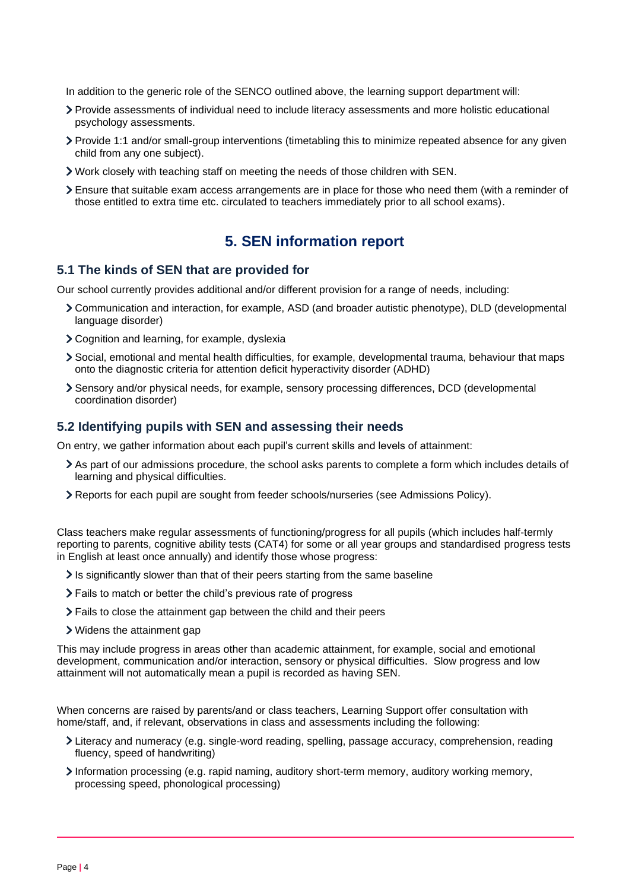In addition to the generic role of the SENCO outlined above, the learning support department will:

- Provide assessments of individual need to include literacy assessments and more holistic educational psychology assessments.
- Provide 1:1 and/or small-group interventions (timetabling this to minimize repeated absence for any given child from any one subject).
- Work closely with teaching staff on meeting the needs of those children with SEN.
- Ensure that suitable exam access arrangements are in place for those who need them (with a reminder of those entitled to extra time etc. circulated to teachers immediately prior to all school exams).

## **5. SEN information report**

#### <span id="page-3-0"></span>**5.1 The kinds of SEN that are provided for**

Our school currently provides additional and/or different provision for a range of needs, including:

- Communication and interaction, for example, ASD (and broader autistic phenotype), DLD (developmental language disorder)
- Cognition and learning, for example, dyslexia
- Social, emotional and mental health difficulties, for example, developmental trauma, behaviour that maps onto the diagnostic criteria for attention deficit hyperactivity disorder (ADHD)
- Sensory and/or physical needs, for example, sensory processing differences, DCD (developmental coordination disorder)

#### **5.2 Identifying pupils with SEN and assessing their needs**

On entry, we gather information about each pupil's current skills and levels of attainment:

- As part of our admissions procedure, the school asks parents to complete a form which includes details of learning and physical difficulties.
- Reports for each pupil are sought from feeder schools/nurseries (see Admissions Policy).

Class teachers make regular assessments of functioning/progress for all pupils (which includes half-termly reporting to parents, cognitive ability tests (CAT4) for some or all year groups and standardised progress tests in English at least once annually) and identify those whose progress:

- $\ge$  Is significantly slower than that of their peers starting from the same baseline
- Fails to match or better the child's previous rate of progress
- Fails to close the attainment gap between the child and their peers
- Widens the attainment gap

This may include progress in areas other than academic attainment, for example, social and emotional development, communication and/or interaction, sensory or physical difficulties. Slow progress and low attainment will not automatically mean a pupil is recorded as having SEN.

When concerns are raised by parents/and or class teachers, Learning Support offer consultation with home/staff, and, if relevant, observations in class and assessments including the following:

- Literacy and numeracy (e.g. single-word reading, spelling, passage accuracy, comprehension, reading fluency, speed of handwriting)
- Information processing (e.g. rapid naming, auditory short-term memory, auditory working memory, processing speed, phonological processing)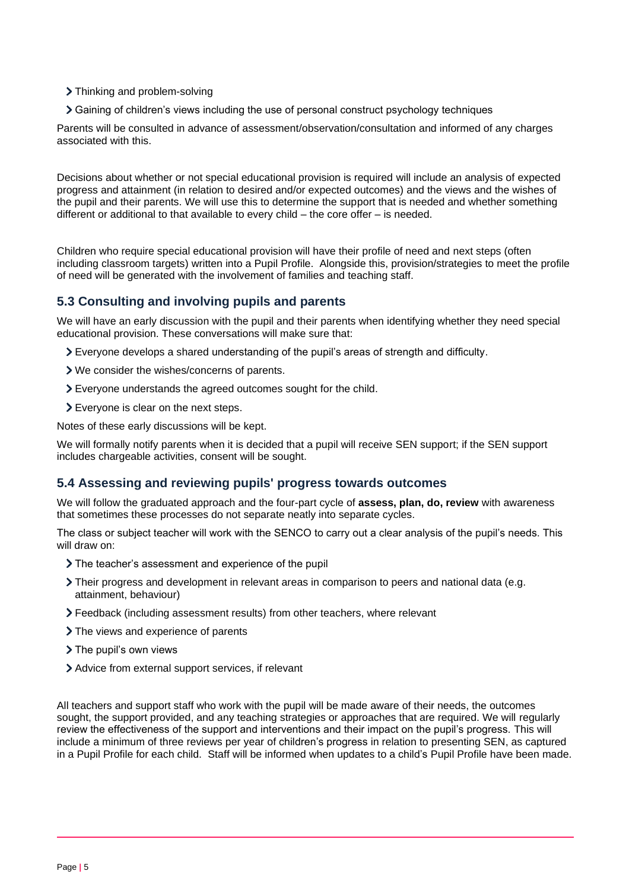- > Thinking and problem-solving
- Gaining of children's views including the use of personal construct psychology techniques

Parents will be consulted in advance of assessment/observation/consultation and informed of any charges associated with this.

Decisions about whether or not special educational provision is required will include an analysis of expected progress and attainment (in relation to desired and/or expected outcomes) and the views and the wishes of the pupil and their parents. We will use this to determine the support that is needed and whether something different or additional to that available to every child – the core offer – is needed.

Children who require special educational provision will have their profile of need and next steps (often including classroom targets) written into a Pupil Profile. Alongside this, provision/strategies to meet the profile of need will be generated with the involvement of families and teaching staff.

#### **5.3 Consulting and involving pupils and parents**

We will have an early discussion with the pupil and their parents when identifying whether they need special educational provision. These conversations will make sure that:

- Everyone develops a shared understanding of the pupil's areas of strength and difficulty.
- We consider the wishes/concerns of parents.
- Everyone understands the agreed outcomes sought for the child.
- Everyone is clear on the next steps.

Notes of these early discussions will be kept.

We will formally notify parents when it is decided that a pupil will receive SEN support; if the SEN support includes chargeable activities, consent will be sought.

#### **5.4 Assessing and reviewing pupils' progress towards outcomes**

We will follow the graduated approach and the four-part cycle of **assess, plan, do, review** with awareness that sometimes these processes do not separate neatly into separate cycles.

The class or subject teacher will work with the SENCO to carry out a clear analysis of the pupil's needs. This will draw on:

- The teacher's assessment and experience of the pupil
- Their progress and development in relevant areas in comparison to peers and national data (e.g. attainment, behaviour)
- Feedback (including assessment results) from other teachers, where relevant
- > The views and experience of parents
- > The pupil's own views
- Advice from external support services, if relevant

All teachers and support staff who work with the pupil will be made aware of their needs, the outcomes sought, the support provided, and any teaching strategies or approaches that are required. We will regularly review the effectiveness of the support and interventions and their impact on the pupil's progress. This will include a minimum of three reviews per year of children's progress in relation to presenting SEN, as captured in a Pupil Profile for each child. Staff will be informed when updates to a child's Pupil Profile have been made.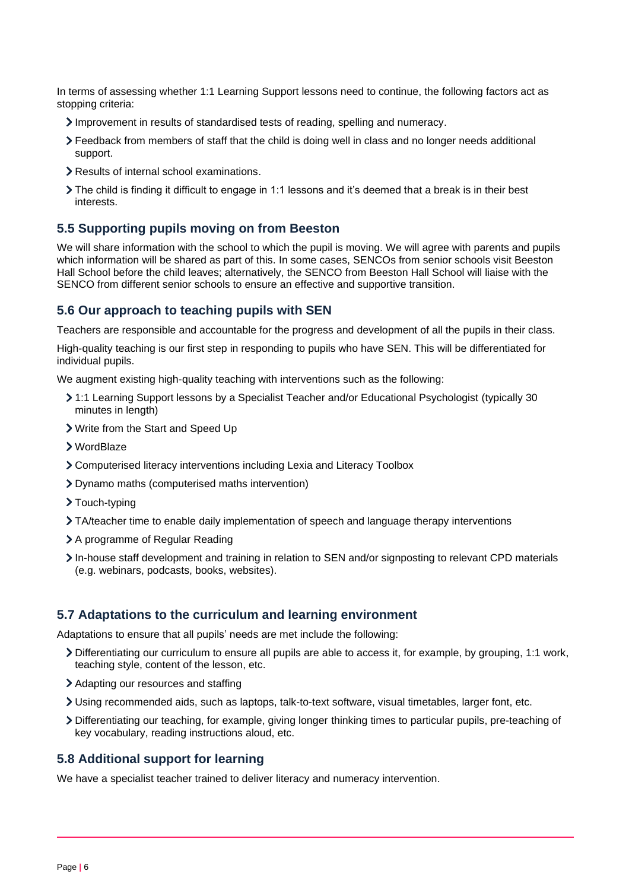In terms of assessing whether 1:1 Learning Support lessons need to continue, the following factors act as stopping criteria:

- Improvement in results of standardised tests of reading, spelling and numeracy.
- Feedback from members of staff that the child is doing well in class and no longer needs additional support.
- Results of internal school examinations.
- The child is finding it difficult to engage in 1:1 lessons and it's deemed that a break is in their best interests.

#### **5.5 Supporting pupils moving on from Beeston**

We will share information with the school to which the pupil is moving. We will agree with parents and pupils which information will be shared as part of this. In some cases, SENCOs from senior schools visit Beeston Hall School before the child leaves; alternatively, the SENCO from Beeston Hall School will liaise with the SENCO from different senior schools to ensure an effective and supportive transition.

#### **5.6 Our approach to teaching pupils with SEN**

Teachers are responsible and accountable for the progress and development of all the pupils in their class.

High-quality teaching is our first step in responding to pupils who have SEN. This will be differentiated for individual pupils.

We augment existing high-quality teaching with interventions such as the following:

- 1:1 Learning Support lessons by a Specialist Teacher and/or Educational Psychologist (typically 30 minutes in length)
- Write from the Start and Speed Up
- WordBlaze
- Computerised literacy interventions including Lexia and Literacy Toolbox
- Dynamo maths (computerised maths intervention)
- > Touch-typing
- TA/teacher time to enable daily implementation of speech and language therapy interventions
- > A programme of Regular Reading
- In-house staff development and training in relation to SEN and/or signposting to relevant CPD materials (e.g. webinars, podcasts, books, websites).

#### **5.7 Adaptations to the curriculum and learning environment**

Adaptations to ensure that all pupils' needs are met include the following:

- Differentiating our curriculum to ensure all pupils are able to access it, for example, by grouping, 1:1 work, teaching style, content of the lesson, etc.
- > Adapting our resources and staffing
- Using recommended aids, such as laptops, talk-to-text software, visual timetables, larger font, etc.
- Differentiating our teaching, for example, giving longer thinking times to particular pupils, pre-teaching of key vocabulary, reading instructions aloud, etc.

#### **5.8 Additional support for learning**

We have a specialist teacher trained to deliver literacy and numeracy intervention.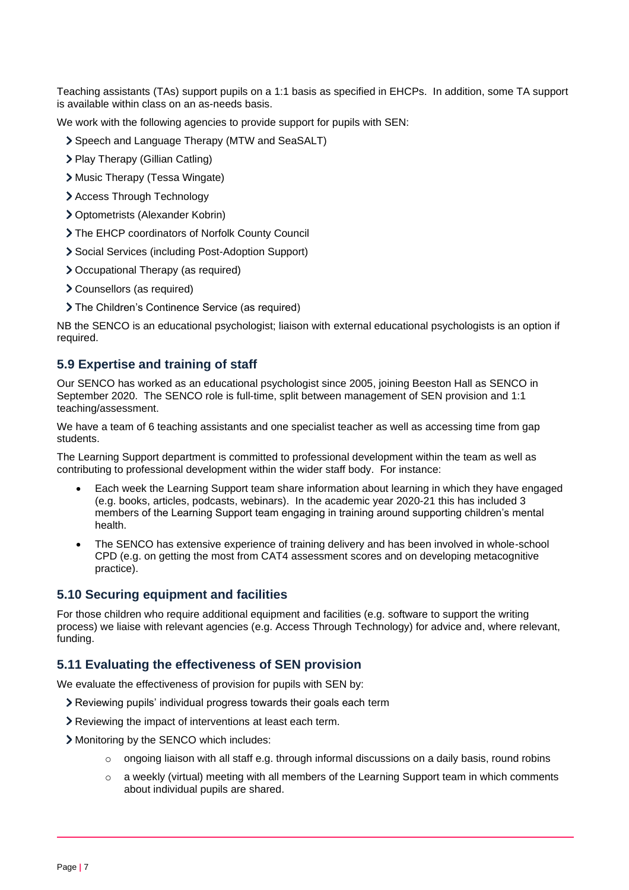Teaching assistants (TAs) support pupils on a 1:1 basis as specified in EHCPs. In addition, some TA support is available within class on an as-needs basis.

We work with the following agencies to provide support for pupils with SEN:

- Speech and Language Therapy (MTW and SeaSALT)
- > Play Therapy (Gillian Catling)
- Music Therapy (Tessa Wingate)
- > Access Through Technology
- Optometrists (Alexander Kobrin)
- The EHCP coordinators of Norfolk County Council
- Social Services (including Post-Adoption Support)
- Occupational Therapy (as required)
- Counsellors (as required)
- The Children's Continence Service (as required)

NB the SENCO is an educational psychologist; liaison with external educational psychologists is an option if required.

#### **5.9 Expertise and training of staff**

Our SENCO has worked as an educational psychologist since 2005, joining Beeston Hall as SENCO in September 2020. The SENCO role is full-time, split between management of SEN provision and 1:1 teaching/assessment.

We have a team of 6 teaching assistants and one specialist teacher as well as accessing time from gap students.

The Learning Support department is committed to professional development within the team as well as contributing to professional development within the wider staff body. For instance:

- Each week the Learning Support team share information about learning in which they have engaged (e.g. books, articles, podcasts, webinars). In the academic year 2020-21 this has included 3 members of the Learning Support team engaging in training around supporting children's mental health.
- The SENCO has extensive experience of training delivery and has been involved in whole-school CPD (e.g. on getting the most from CAT4 assessment scores and on developing metacognitive practice).

#### **5.10 Securing equipment and facilities**

For those children who require additional equipment and facilities (e.g. software to support the writing process) we liaise with relevant agencies (e.g. Access Through Technology) for advice and, where relevant, funding.

#### **5.11 Evaluating the effectiveness of SEN provision**

We evaluate the effectiveness of provision for pupils with SEN by:

- Reviewing pupils' individual progress towards their goals each term
- Reviewing the impact of interventions at least each term.
- Monitoring by the SENCO which includes:
	- $\circ$  ongoing liaison with all staff e.g. through informal discussions on a daily basis, round robins
	- $\circ$  a weekly (virtual) meeting with all members of the Learning Support team in which comments about individual pupils are shared.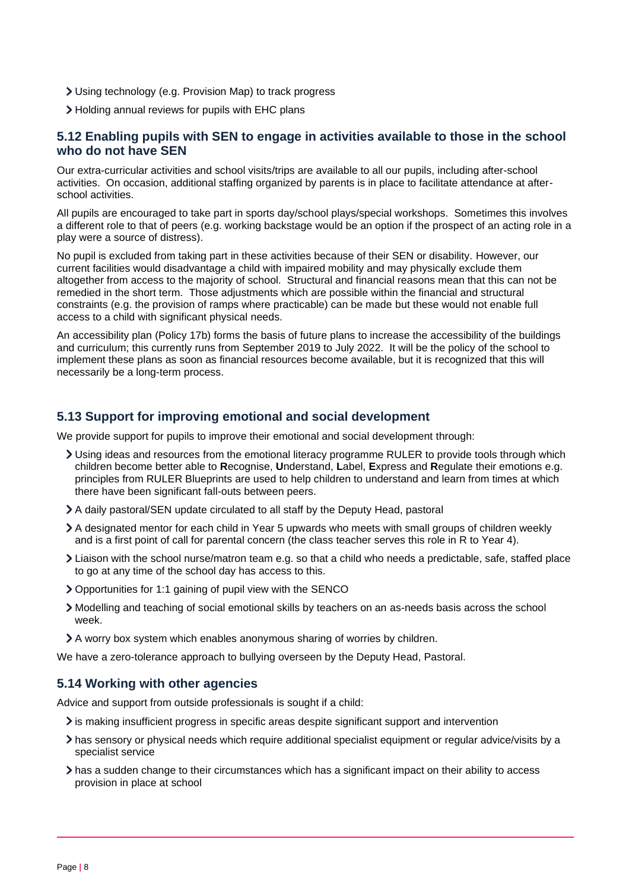- Using technology (e.g. Provision Map) to track progress
- Holding annual reviews for pupils with EHC plans

#### **5.12 Enabling pupils with SEN to engage in activities available to those in the school who do not have SEN**

Our extra-curricular activities and school visits/trips are available to all our pupils, including after-school activities. On occasion, additional staffing organized by parents is in place to facilitate attendance at afterschool activities.

All pupils are encouraged to take part in sports day/school plays/special workshops. Sometimes this involves a different role to that of peers (e.g. working backstage would be an option if the prospect of an acting role in a play were a source of distress).

No pupil is excluded from taking part in these activities because of their SEN or disability. However, our current facilities would disadvantage a child with impaired mobility and may physically exclude them altogether from access to the majority of school. Structural and financial reasons mean that this can not be remedied in the short term. Those adjustments which are possible within the financial and structural constraints (e.g. the provision of ramps where practicable) can be made but these would not enable full access to a child with significant physical needs.

An accessibility plan (Policy 17b) forms the basis of future plans to increase the accessibility of the buildings and curriculum; this currently runs from September 2019 to July 2022. It will be the policy of the school to implement these plans as soon as financial resources become available, but it is recognized that this will necessarily be a long-term process.

#### **5.13 Support for improving emotional and social development**

We provide support for pupils to improve their emotional and social development through:

- Using ideas and resources from the emotional literacy programme RULER to provide tools through which children become better able to **R**ecognise, **U**nderstand, **L**abel, **E**xpress and **R**egulate their emotions e.g. principles from RULER Blueprints are used to help children to understand and learn from times at which there have been significant fall-outs between peers.
- A daily pastoral/SEN update circulated to all staff by the Deputy Head, pastoral
- A designated mentor for each child in Year 5 upwards who meets with small groups of children weekly and is a first point of call for parental concern (the class teacher serves this role in R to Year 4).
- Liaison with the school nurse/matron team e.g. so that a child who needs a predictable, safe, staffed place to go at any time of the school day has access to this.
- Opportunities for 1:1 gaining of pupil view with the SENCO
- Modelling and teaching of social emotional skills by teachers on an as-needs basis across the school week.
- A worry box system which enables anonymous sharing of worries by children.

We have a zero-tolerance approach to bullying overseen by the Deputy Head, Pastoral.

#### **5.14 Working with other agencies**

Advice and support from outside professionals is sought if a child:

- $\ge$  is making insufficient progress in specific areas despite significant support and intervention
- has sensory or physical needs which require additional specialist equipment or regular advice/visits by a specialist service
- has a sudden change to their circumstances which has a significant impact on their ability to access provision in place at school